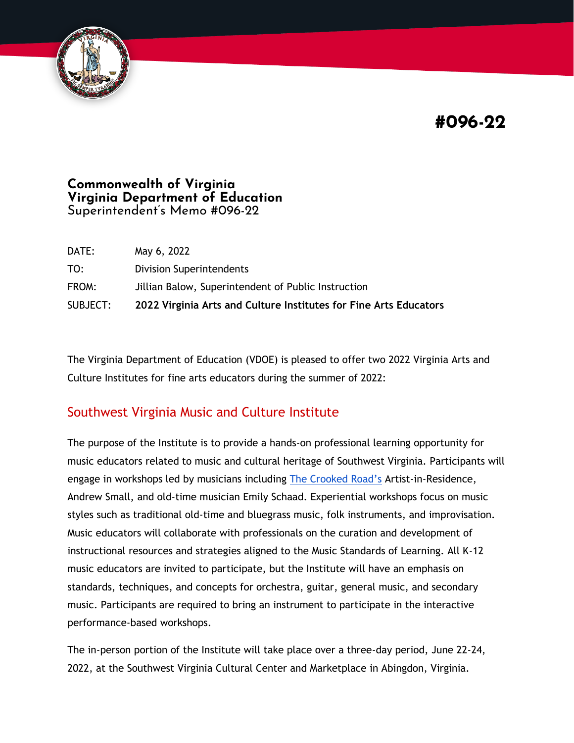**#096-22**



#### **Commonwealth of Virginia Virginia Department of Education** Superintendent's Memo #096-22

| DATE:    | May 6, 2022                                                       |
|----------|-------------------------------------------------------------------|
| TO:      | Division Superintendents                                          |
| FROM:    | Jillian Balow, Superintendent of Public Instruction               |
| SUBJECT: | 2022 Virginia Arts and Culture Institutes for Fine Arts Educators |

The Virginia Department of Education (VDOE) is pleased to offer two 2022 Virginia Arts and Culture Institutes for fine arts educators during the summer of 2022:

## Southwest Virginia Music and Culture Institute

The purpose of the Institute is to provide a hands-on professional learning opportunity for music educators related to music and cultural heritage of Southwest Virginia. Participants will engage in workshops led by musicians including [The Crooked Road's](https://thecrookedroadva.com/) Artist-in-Residence, Andrew Small, and old-time musician Emily Schaad. Experiential workshops focus on music styles such as traditional old-time and bluegrass music, folk instruments, and improvisation. Music educators will collaborate with professionals on the curation and development of instructional resources and strategies aligned to the Music Standards of Learning. All K-12 music educators are invited to participate, but the Institute will have an emphasis on standards, techniques, and concepts for orchestra, guitar, general music, and secondary music. Participants are required to bring an instrument to participate in the interactive performance-based workshops.

The in-person portion of the Institute will take place over a three-day period, June 22-24, 2022, at the Southwest Virginia Cultural Center and Marketplace in Abingdon, Virginia.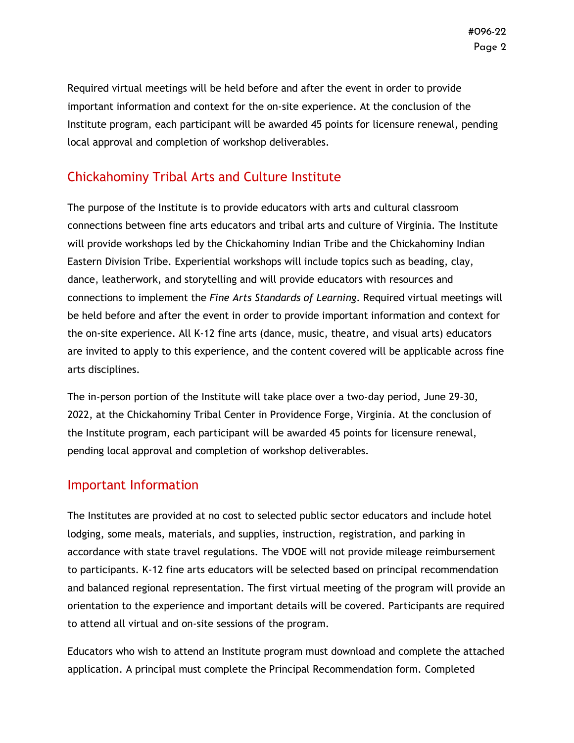Required virtual meetings will be held before and after the event in order to provide important information and context for the on-site experience. At the conclusion of the Institute program, each participant will be awarded 45 points for licensure renewal, pending local approval and completion of workshop deliverables.

# Chickahominy Tribal Arts and Culture Institute

The purpose of the Institute is to provide educators with arts and cultural classroom connections between fine arts educators and tribal arts and culture of Virginia. The Institute will provide workshops led by the Chickahominy Indian Tribe and the Chickahominy Indian Eastern Division Tribe. Experiential workshops will include topics such as beading, clay, dance, leatherwork, and storytelling and will provide educators with resources and connections to implement the *Fine Arts Standards of Learning*. Required virtual meetings will be held before and after the event in order to provide important information and context for the on-site experience. All K-12 fine arts (dance, music, theatre, and visual arts) educators are invited to apply to this experience, and the content covered will be applicable across fine arts disciplines.

The in-person portion of the Institute will take place over a two-day period, June 29-30, 2022, at the Chickahominy Tribal Center in Providence Forge, Virginia. At the conclusion of the Institute program, each participant will be awarded 45 points for licensure renewal, pending local approval and completion of workshop deliverables.

### Important Information

The Institutes are provided at no cost to selected public sector educators and include hotel lodging, some meals, materials, and supplies, instruction, registration, and parking in accordance with state travel regulations. The VDOE will not provide mileage reimbursement to participants. K-12 fine arts educators will be selected based on principal recommendation and balanced regional representation. The first virtual meeting of the program will provide an orientation to the experience and important details will be covered. Participants are required to attend all virtual and on-site sessions of the program.

Educators who wish to attend an Institute program must download and complete the attached application. A principal must complete the Principal Recommendation form. Completed